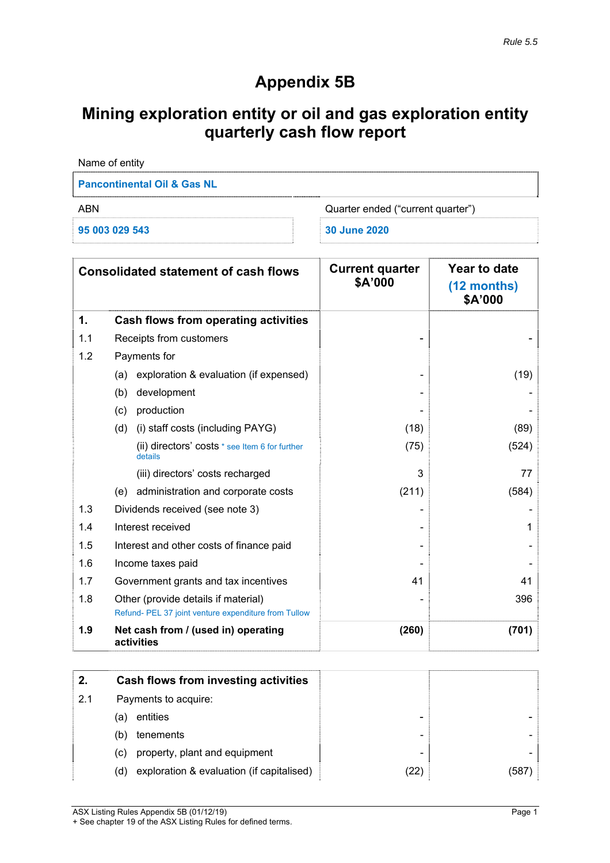# **Appendix 5B**

# **Mining exploration entity or oil and gas exploration entity quarterly cash flow report**

| Name of entity                         |                                   |
|----------------------------------------|-----------------------------------|
| <b>Pancontinental Oil &amp; Gas NL</b> |                                   |
| <b>ABN</b>                             | Quarter ended ("current quarter") |
| 95 003 029 543                         | 30 June 2020                      |

|     | <b>Consolidated statement of cash flows</b>                                                 | <b>Current quarter</b><br>\$A'000 | Year to date<br>(12 months)<br>\$A'000 |
|-----|---------------------------------------------------------------------------------------------|-----------------------------------|----------------------------------------|
| 1.  | <b>Cash flows from operating activities</b>                                                 |                                   |                                        |
| 1.1 | Receipts from customers                                                                     |                                   |                                        |
| 1.2 | Payments for                                                                                |                                   |                                        |
|     | exploration & evaluation (if expensed)<br>(a)                                               |                                   | (19)                                   |
|     | (b)<br>development                                                                          |                                   |                                        |
|     | production<br>(c)                                                                           |                                   |                                        |
|     | (i) staff costs (including PAYG)<br>(d)                                                     | (18)                              | (89)                                   |
|     | (ii) directors' costs * see Item 6 for further<br>details                                   | (75)                              | (524)                                  |
|     | (iii) directors' costs recharged                                                            | 3                                 | 77                                     |
|     | (e) administration and corporate costs                                                      | (211)                             | (584)                                  |
| 1.3 | Dividends received (see note 3)                                                             |                                   |                                        |
| 1.4 | Interest received                                                                           |                                   | 1                                      |
| 1.5 | Interest and other costs of finance paid                                                    |                                   |                                        |
| 1.6 | Income taxes paid                                                                           |                                   |                                        |
| 1.7 | Government grants and tax incentives                                                        | 41                                | 41                                     |
| 1.8 | Other (provide details if material)<br>Refund- PEL 37 joint venture expenditure from Tullow |                                   | 396                                    |
| 1.9 | Net cash from / (used in) operating<br>activities                                           | (260)                             | (701)                                  |

| 2.  | Cash flows from investing activities             |                          |       |
|-----|--------------------------------------------------|--------------------------|-------|
| 2.1 | Payments to acquire:                             |                          |       |
|     | entities<br>(a)                                  | -                        |       |
|     | tenements<br>(b)                                 | -                        |       |
|     | property, plant and equipment<br>(C)             | $\overline{\phantom{0}}$ |       |
|     | exploration & evaluation (if capitalised)<br>(d) | (22)                     | (587) |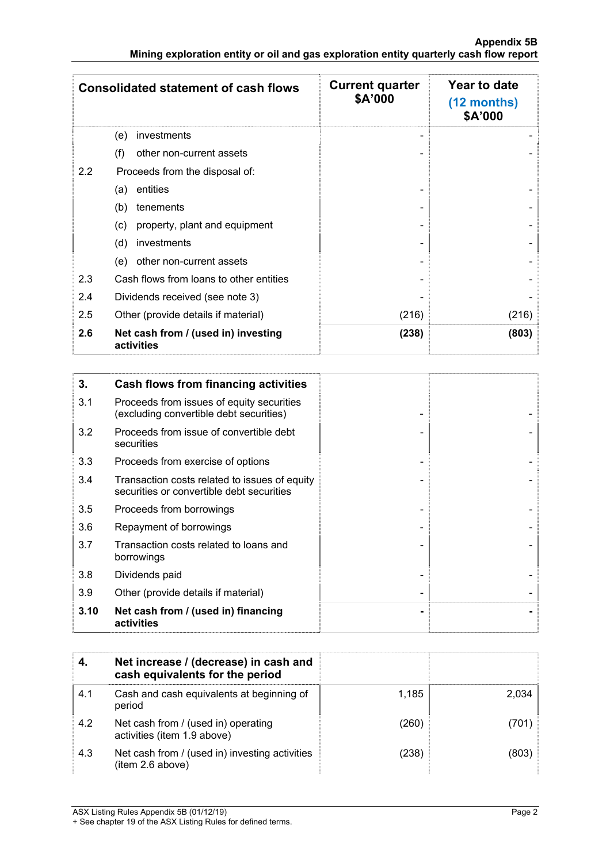|     | <b>Consolidated statement of cash flows</b>       | <b>Current quarter</b><br>\$A'000 | Year to date<br>$(12$ months)<br>\$A'000 |
|-----|---------------------------------------------------|-----------------------------------|------------------------------------------|
|     | investments<br>(e)                                |                                   |                                          |
|     | other non-current assets<br>(f)                   |                                   |                                          |
| 2.2 | Proceeds from the disposal of:                    |                                   |                                          |
|     | entities<br>(a)                                   |                                   |                                          |
|     | (b)<br>tenements                                  |                                   |                                          |
|     | property, plant and equipment<br>(c)              |                                   |                                          |
|     | (d)<br>investments                                |                                   |                                          |
|     | other non-current assets<br>(e)                   |                                   |                                          |
| 2.3 | Cash flows from loans to other entities           |                                   |                                          |
| 2.4 | Dividends received (see note 3)                   |                                   |                                          |
| 2.5 | Other (provide details if material)               | (216)                             | (216)                                    |
| 2.6 | Net cash from / (used in) investing<br>activities | (238)                             | (803)                                    |

| 3.   | Cash flows from financing activities                                                       |  |
|------|--------------------------------------------------------------------------------------------|--|
| 3.1  | Proceeds from issues of equity securities<br>(excluding convertible debt securities)       |  |
| 3.2  | Proceeds from issue of convertible debt<br>securities                                      |  |
| 3.3  | Proceeds from exercise of options                                                          |  |
| 3.4  | Transaction costs related to issues of equity<br>securities or convertible debt securities |  |
| 3.5  | Proceeds from borrowings                                                                   |  |
| 3.6  | Repayment of borrowings                                                                    |  |
| 3.7  | Transaction costs related to loans and<br>borrowings                                       |  |
| 3.8  | Dividends paid                                                                             |  |
| 3.9  | Other (provide details if material)                                                        |  |
| 3.10 | Net cash from / (used in) financing<br>activities                                          |  |

|     | Net increase / (decrease) in cash and<br>cash equivalents for the period |       |       |
|-----|--------------------------------------------------------------------------|-------|-------|
| 4.1 | Cash and cash equivalents at beginning of<br>period                      | 1.185 | 2,034 |
| 4.2 | Net cash from / (used in) operating<br>activities (item 1.9 above)       | (260) | (701) |
| 4.3 | Net cash from / (used in) investing activities<br>(item 2.6 above)       | (238) | (803) |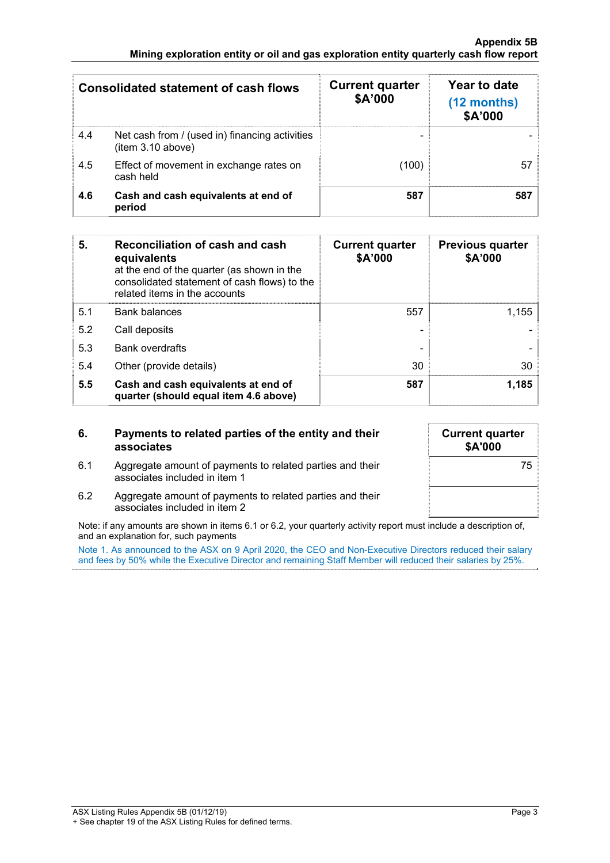#### **Appendix 5B Mining exploration entity or oil and gas exploration entity quarterly cash flow report**

|     | <b>Consolidated statement of cash flows</b>                         | <b>Current quarter</b><br>\$A'000 | Year to date<br>$(12$ months)<br>\$A'000 |
|-----|---------------------------------------------------------------------|-----------------------------------|------------------------------------------|
| 4.4 | Net cash from / (used in) financing activities<br>(item 3.10 above) |                                   |                                          |
| 4.5 | Effect of movement in exchange rates on<br>cash held                | (100)                             | 57                                       |
| 4.6 | Cash and cash equivalents at end of<br>period                       | 587                               | 587                                      |

| 5.  | Reconciliation of cash and cash<br>equivalents<br>at the end of the quarter (as shown in the<br>consolidated statement of cash flows) to the<br>related items in the accounts | <b>Current quarter</b><br>\$A'000 | <b>Previous quarter</b><br>\$A'000 |
|-----|-------------------------------------------------------------------------------------------------------------------------------------------------------------------------------|-----------------------------------|------------------------------------|
| 5.1 | <b>Bank balances</b>                                                                                                                                                          | 557                               | 1,155                              |
| 5.2 | Call deposits                                                                                                                                                                 |                                   |                                    |
| 5.3 | <b>Bank overdrafts</b>                                                                                                                                                        |                                   |                                    |
| 5.4 | Other (provide details)                                                                                                                                                       | 30                                | 30                                 |
| 5.5 | Cash and cash equivalents at end of<br>quarter (should equal item 4.6 above)                                                                                                  | 587                               | 1,185                              |

### **6. Payments to related parties of the entity and their associates**

6.1 Aggregate amount of payments to related parties and their

associates included in item 1

| <b>Current quarter</b><br>\$A'000 |
|-----------------------------------|
| 75                                |
|                                   |

6.2 Aggregate amount of payments to related parties and their associates included in item 2

Note: if any amounts are shown in items 6.1 or 6.2, your quarterly activity report must include a description of, and an explanation for, such payments

Note 1. As announced to the ASX on 9 April 2020, the CEO and Non-Executive Directors reduced their salary and fees by 50% while the Executive Director and remaining Staff Member will reduced their salaries by 25%.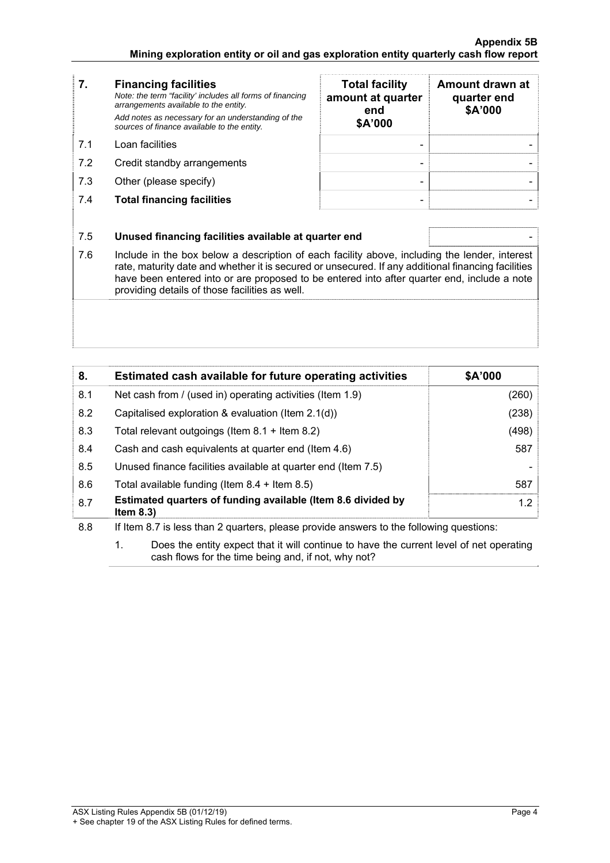- **7. Financing facilities** *Note: the term "facility' includes all forms of financing arrangements available to the entity. Add notes as necessary for an understanding of the sources of finance available to the entity.* 7.1 Loan facilities
- 7.2 Credit standby arrangements
- 7.3 Other (please specify)
- **7.4 Total financing facilities**

| <b>Total facility</b><br>amount at quarter<br>end<br>\$A'000 | Amount drawn at<br>quarter end<br>\$A'000 |
|--------------------------------------------------------------|-------------------------------------------|
|                                                              |                                           |
|                                                              |                                           |
|                                                              |                                           |

## 7.5 **Unused financing facilities available at quarter end** -

7.6 Include in the box below a description of each facility above, including the lender, interest rate, maturity date and whether it is secured or unsecured. If any additional financing facilities have been entered into or are proposed to be entered into after quarter end, include a note providing details of those facilities as well.

| 8.  | Estimated cash available for future operating activities                     | \$A'000 |
|-----|------------------------------------------------------------------------------|---------|
| 8.1 | Net cash from / (used in) operating activities (Item 1.9)                    | (260)   |
| 8.2 | Capitalised exploration & evaluation (Item 2.1(d))                           | (238)   |
| 8.3 | Total relevant outgoings (Item $8.1 +$ Item $8.2$ )                          | (498)   |
| 8.4 | Cash and cash equivalents at quarter end (Item 4.6)                          | 587     |
| 8.5 | Unused finance facilities available at quarter end (Item 7.5)                |         |
| 8.6 | Total available funding (Item $8.4 +$ Item $8.5$ )                           | 587     |
| 8.7 | Estimated quarters of funding available (Item 8.6 divided by<br>Item $8.3$ ) | 1.2     |

8.8 If Item 8.7 is less than 2 quarters, please provide answers to the following questions:

 1. Does the entity expect that it will continue to have the current level of net operating cash flows for the time being and, if not, why not?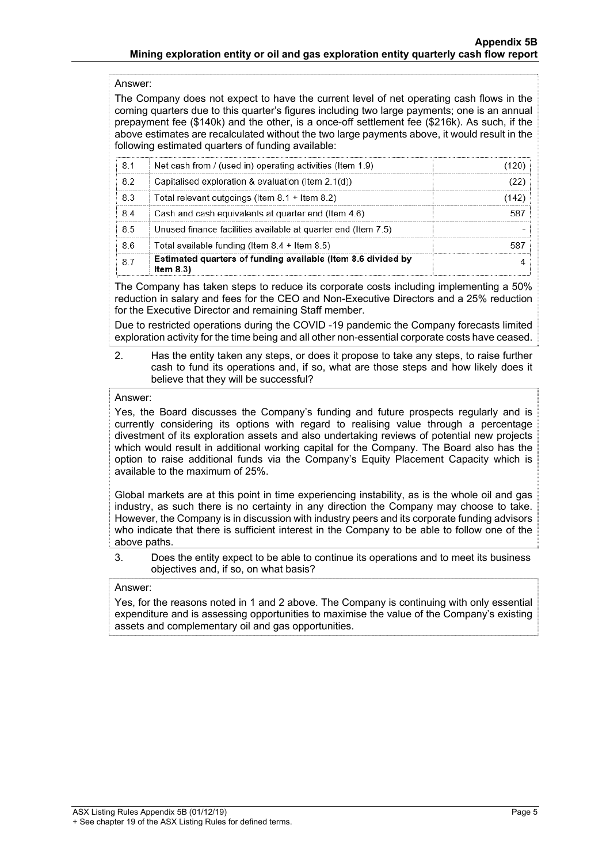## Answer:

The Company does not expect to have the current level of net operating cash flows in the coming quarters due to this quarter's figures including two large payments; one is an annual prepayment fee (\$140k) and the other, is a once-off settlement fee (\$216k). As such, if the above estimates are recalculated without the two large payments above, it would result in the following estimated quarters of funding available:

|    | Estimated quarters of funding available (Item 8.6 divided by<br>Item $8.3$ ) |  |
|----|------------------------------------------------------------------------------|--|
| 86 | Total available funding (Item $8.4 +$ Item $8.5$ )                           |  |
| 85 | Unused finance facilities available at quarter end (Item 7.5)                |  |
| 84 | Cash and cash equivalents at quarter end (Item 4.6)                          |  |
| 83 | Total relevant outgoings (Item $8.1 +$ Item $8.2$ )                          |  |
| 82 | Capitalised exploration & evaluation (Item 2.1(d))                           |  |
| 81 | Net cash from / (used in) operating activities (Item 1.9)                    |  |

The Company has taken steps to reduce its corporate costs including implementing a 50% reduction in salary and fees for the CEO and Non-Executive Directors and a 25% reduction for the Executive Director and remaining Staff member.

Due to restricted operations during the COVID -19 pandemic the Company forecasts limited exploration activity for the time being and all other non-essential corporate costs have ceased.

 2. Has the entity taken any steps, or does it propose to take any steps, to raise further cash to fund its operations and, if so, what are those steps and how likely does it believe that they will be successful?

### Answer:

Yes, the Board discusses the Company's funding and future prospects regularly and is currently considering its options with regard to realising value through a percentage divestment of its exploration assets and also undertaking reviews of potential new projects which would result in additional working capital for the Company. The Board also has the option to raise additional funds via the Company's Equity Placement Capacity which is available to the maximum of 25%.

Global markets are at this point in time experiencing instability, as is the whole oil and gas industry, as such there is no certainty in any direction the Company may choose to take. However, the Company is in discussion with industry peers and its corporate funding advisors who indicate that there is sufficient interest in the Company to be able to follow one of the above paths.

 3. Does the entity expect to be able to continue its operations and to meet its business objectives and, if so, on what basis?

#### Answer:

Yes, for the reasons noted in 1 and 2 above. The Company is continuing with only essential expenditure and is assessing opportunities to maximise the value of the Company's existing assets and complementary oil and gas opportunities.